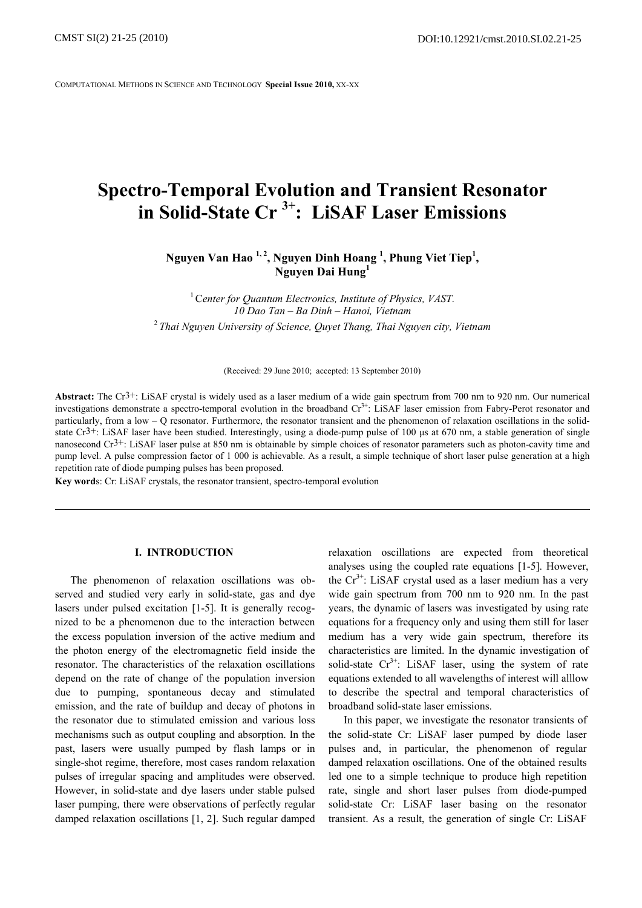COMPUTATIONAL METHODS IN SCIENCE AND TECHNOLOGY **Special Issue 2010,** XX-XX

# **Spectro-Temporal Evolution and Transient Resonator in Solid-State Cr 3+: LiSAF Laser Emissions**

Nguyen Van Hao <sup>1, 2</sup>, Nguyen Dinh Hoang <sup>1</sup>, Phung Viet Tiep<sup>1</sup>, **Nguyen Dai Hung<sup>1</sup>**

<sup>1</sup> Center for Quantum Electronics, Institute of Physics, VAST. *10 Dao Tan – Ba Dinh – Hanoi, Vietnam*  <sup>2</sup> *Thai Nguyen University of Science, Quyet Thang, Thai Nguyen city, Vietnam* 

(Received: 29 June 2010; accepted: 13 September 2010)

**Abstract:** The Cr3+: LiSAF crystal is widely used as a laser medium of a wide gain spectrum from 700 nm to 920 nm. Our numerical investigations demonstrate a spectro-temporal evolution in the broadband  $Cr<sup>3+</sup>$ : LiSAF laser emission from Fabry-Perot resonator and particularly, from a low – Q resonator. Furthermore, the resonator transient and the phenomenon of relaxation oscillations in the solidstate  $Cr^{3+}$ : LiSAF laser have been studied. Interestingly, using a diode-pump pulse of 100 us at 670 nm, a stable generation of single nanosecond  $Cr^{3+}$ : LiSAF laser pulse at 850 nm is obtainable by simple choices of resonator parameters such as photon-cavity time and pump level. A pulse compression factor of 1 000 is achievable. As a result, a simple technique of short laser pulse generation at a high repetition rate of diode pumping pulses has been proposed.

**Key word**s: Cr: LiSAF crystals, the resonator transient, spectro-temporal evolution

### **I. INTRODUCTION**

The phenomenon of relaxation oscillations was observed and studied very early in solid-state, gas and dye lasers under pulsed excitation [1-5]. It is generally recognized to be a phenomenon due to the interaction between the excess population inversion of the active medium and the photon energy of the electromagnetic field inside the resonator. The characteristics of the relaxation oscillations depend on the rate of change of the population inversion due to pumping, spontaneous decay and stimulated emission, and the rate of buildup and decay of photons in the resonator due to stimulated emission and various loss mechanisms such as output coupling and absorption. In the past, lasers were usually pumped by flash lamps or in single-shot regime, therefore, most cases random relaxation pulses of irregular spacing and amplitudes were observed. However, in solid-state and dye lasers under stable pulsed laser pumping, there were observations of perfectly regular damped relaxation oscillations [1, 2]. Such regular damped

relaxation oscillations are expected from theoretical analyses using the coupled rate equations [1-5]. However, the  $Cr^{3+}$ : LiSAF crystal used as a laser medium has a very wide gain spectrum from 700 nm to 920 nm. In the past years, the dynamic of lasers was investigated by using rate equations for a frequency only and using them still for laser medium has a very wide gain spectrum, therefore its characteristics are limited. In the dynamic investigation of solid-state  $Cr^{3+}$ : LiSAF laser, using the system of rate equations extended to all wavelengths of interest will alllow to describe the spectral and temporal characteristics of broadband solid-state laser emissions.

In this paper, we investigate the resonator transients of the solid-state Cr: LiSAF laser pumped by diode laser pulses and, in particular, the phenomenon of regular damped relaxation oscillations. One of the obtained results led one to a simple technique to produce high repetition rate, single and short laser pulses from diode-pumped solid-state Cr: LiSAF laser basing on the resonator transient. As a result, the generation of single Cr: LiSAF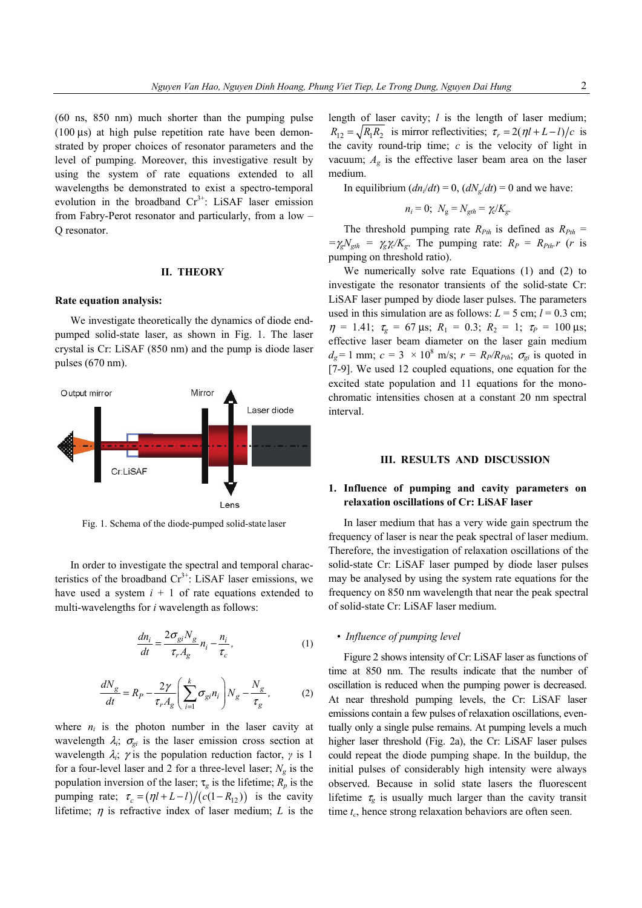(60 ns, 850 nm) much shorter than the pumping pulse (100  $\mu$ s) at high pulse repetition rate have been demonstrated by proper choices of resonator parameters and the level of pumping. Moreover, this investigative result by using the system of rate equations extended to all wavelengths be demonstrated to exist a spectro-temporal evolution in the broadband  $Cr^{3+}$ : LiSAF laser emission from Fabry-Perot resonator and particularly, from a low – Q resonator.

#### **II. THEORY**

#### **Rate equation analysis:**

We investigate theoretically the dynamics of diode endpumped solid-state laser, as shown in Fig. 1. The laser crystal is Cr: LiSAF (850 nm) and the pump is diode laser pulses (670 nm).



Fig. 1. Schema of the diode-pumped solid-state laser

In order to investigate the spectral and temporal characteristics of the broadband  $Cr^{3+}$ : LiSAF laser emissions, we have used a system  $i + 1$  of rate equations extended to multi-wavelengths for *i* wavelength as follows:

$$
\frac{dn_i}{dt} = \frac{2\sigma_{gi} N_g}{\tau_r A_g} n_i - \frac{n_i}{\tau_c},
$$
\n(1)

$$
\frac{dN_g}{dt} = R_P - \frac{2\gamma}{\tau_r A_g} \left( \sum_{i=1}^k \sigma_{gi} n_i \right) N_g - \frac{N_g}{\tau_g},\tag{2}
$$

where  $n_i$  is the photon number in the laser cavity at wavelength  $\lambda_i$ ;  $\sigma_{qi}$  is the laser emission cross section at wavelength  $\lambda_i$ ;  $\gamma$  is the population reduction factor,  $\gamma$  is 1 for a four-level laser and 2 for a three-level laser;  $N_e$  is the population inversion of the laser;  $\tau_g$  is the lifetime;  $R_p$  is the pumping rate;  $\tau_c = (\eta l + L - l) / (c(1 - R_{12}))$  is the cavity lifetime;  $\eta$  is refractive index of laser medium; *L* is the length of laser cavity; *l* is the length of laser medium;  $R_{12} = \sqrt{R_1 R_2}$  is mirror reflectivities;  $\tau_r = 2(\eta l + L - l)/c$  is the cavity round-trip time; *c* is the velocity of light in vacuum;  $A_{\varphi}$  is the effective laser beam area on the laser medium.

In equilibrium  $(dn_i/dt) = 0$ ,  $(dN_e/dt) = 0$  and we have:

$$
n_i = 0; N_g = N_{gth} = \gamma_c/K_g.
$$

The threshold pumping rate  $R_{Pth}$  is defined as  $R_{Pth}$  =  $=\gamma_g N_{\text{gth}} = \gamma_g \gamma_c / K_g$ . The pumping rate:  $R_p = R_{\text{Pth}} r$  (*r* is pumping on threshold ratio).

We numerically solve rate Equations (1) and (2) to investigate the resonator transients of the solid-state Cr: LiSAF laser pumped by diode laser pulses. The parameters used in this simulation are as follows:  $L = 5$  cm;  $l = 0.3$  cm;  $\eta = 1.41; \tau_{g} = 67 \,\mu s; R_1 = 0.3; R_2 = 1; \tau_{p} = 100 \,\mu s;$ effective laser beam diameter on the laser gain medium  $d_g = 1$  mm;  $c = 3 \times 10^8$  m/s;  $r = R_p/R_{Pth}$ ;  $\sigma_{gi}$  is quoted in [7-9]. We used 12 coupled equations, one equation for the excited state population and 11 equations for the monochromatic intensities chosen at a constant 20 nm spectral interval.

#### **III. RESULTS AND DISCUSSION**

# **1. Influence of pumping and cavity parameters on relaxation oscillations of Cr: LiSAF laser**

In laser medium that has a very wide gain spectrum the frequency of laser is near the peak spectral of laser medium. Therefore, the investigation of relaxation oscillations of the solid-state Cr: LiSAF laser pumped by diode laser pulses may be analysed by using the system rate equations for the frequency on 850 nm wavelength that near the peak spectral of solid-state Cr: LiSAF laser medium.

## *• Influence of pumping level*

Figure 2 shows intensity of Cr: LiSAF laser as functions of time at 850 nm. The results indicate that the number of oscillation is reduced when the pumping power is decreased. At near threshold pumping levels, the Cr: LiSAF laser emissions contain a few pulses of relaxation oscillations, eventually only a single pulse remains. At pumping levels a much higher laser threshold (Fig. 2a), the Cr: LiSAF laser pulses could repeat the diode pumping shape. In the buildup, the initial pulses of considerably high intensity were always observed. Because in solid state lasers the fluorescent lifetime  $\tau_{\rm g}$  is usually much larger than the cavity transit time  $t_c$ , hence strong relaxation behaviors are often seen.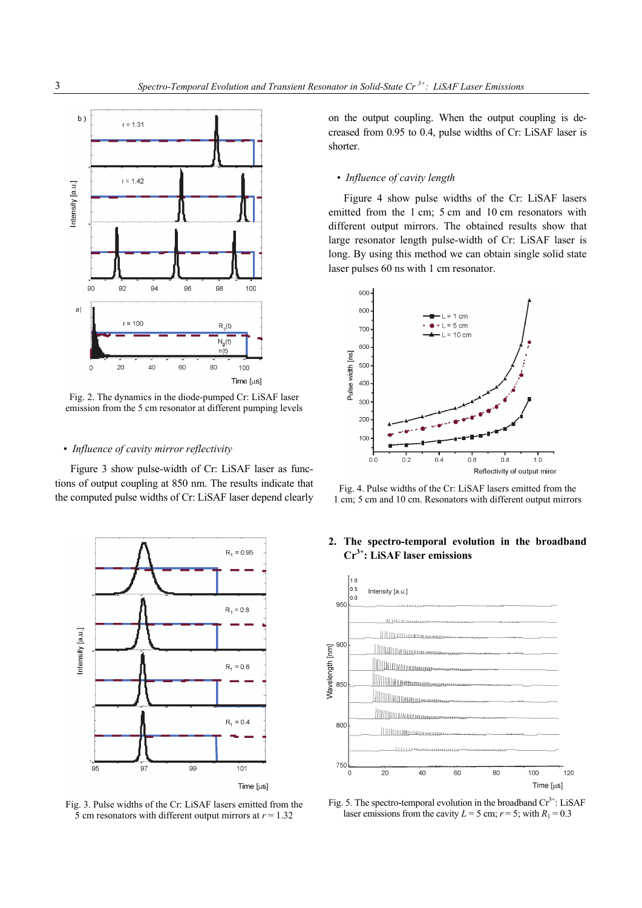

Fig. 2. The dynamics in the diode-pumped Cr: LiSAF laser emission from the 5 cm resonator at different pumping levels

### *• Influence of cavity mirror reflectivity*

Figure 3 show pulse-width of Cr: LiSAF laser as functions of output coupling at 850 nm. The results indicate that the computed pulse widths of Cr: LiSAF laser depend clearly



Fig. 3. Pulse widths of the Cr: LiSAF lasers emitted from the 5 cm resonators with different output mirrors at *r* = 1.32

on the output coupling. When the output coupling is decreased from 0.95 to 0.4, pulse widths of Cr: LiSAF laser is shorter.

### *• Influence of cavity length*

Figure 4 show pulse widths of the Cr: LiSAF lasers emitted from the 1 cm; 5 cm and 10 cm resonators with different output mirrors. The obtained results show that large resonator length pulse-width of Cr: LiSAF laser is long. By using this method we can obtain single solid state laser pulses 60 ns with 1 cm resonator.



Fig. 4. Pulse widths of the Cr: LiSAF lasers emitted from the 1 cm; 5 cm and 10 cm. Resonators with different output mirrors

# **2. The spectro-temporal evolution in the broadband Cr3+: LiSAF laser emissions**



Fig. 5. The spectro-temporal evolution in the broadband  $Cr^{3+}$ : LiSAF laser emissions from the cavity  $L = 5$  cm;  $r = 5$ ; with  $R_1 = 0.3$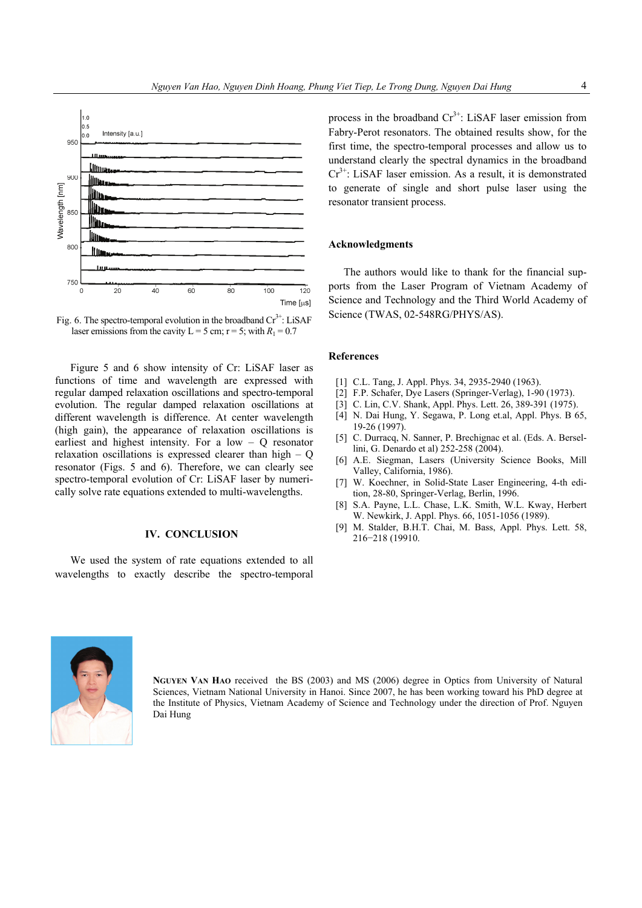

Fig. 6. The spectro-temporal evolution in the broadband  $Cr^{3+}$ : LiSAF laser emissions from the cavity  $L = 5$  cm;  $r = 5$ ; with  $R_1 = 0.7$ 

Figure 5 and 6 show intensity of Cr: LiSAF laser as functions of time and wavelength are expressed with regular damped relaxation oscillations and spectro-temporal evolution. The regular damped relaxation oscillations at different wavelength is difference. At center wavelength (high gain), the appearance of relaxation oscillations is earliest and highest intensity. For a low – Q resonator relaxation oscillations is expressed clearer than high – Q resonator (Figs. 5 and 6). Therefore, we can clearly see spectro-temporal evolution of Cr: LiSAF laser by numerically solve rate equations extended to multi-wavelengths.

# **IV. CONCLUSION**

We used the system of rate equations extended to all wavelengths to exactly describe the spectro-temporal process in the broadband  $Cr^{3+}$ : LiSAF laser emission from Fabry-Perot resonators. The obtained results show, for the first time, the spectro-temporal processes and allow us to understand clearly the spectral dynamics in the broadband  $Cr<sup>3+</sup>$ : LiSAF laser emission. As a result, it is demonstrated to generate of single and short pulse laser using the resonator transient process.

#### **Acknowledgments**

The authors would like to thank for the financial supports from the Laser Program of Vietnam Academy of Science and Technology and the Third World Academy of Science (TWAS, 02-548RG/PHYS/AS).

#### **References**

- [1] C.L. Tang, J. Appl. Phys. 34, 2935-2940 (1963).
- [2] F.P. Schafer, Dye Lasers (Springer-Verlag), 1-90 (1973).
- [3] C. Lin, C.V. Shank, Appl. Phys. Lett. 26, 389-391 (1975).
- [4] N. Dai Hung, Y. Segawa, P. Long et.al, Appl. Phys. B 65, 19-26 (1997).
- [5] C. Durracq, N. Sanner, P. Brechignac et al. (Eds. A. Bersellini, G. Denardo et al) 252-258 (2004).
- [6] A.E. Siegman, Lasers (University Science Books, Mill Valley, California, 1986).
- [7] W. Koechner, in Solid-State Laser Engineering, 4-th edition, 28-80, Springer-Verlag, Berlin, 1996.
- [8] S.A. Payne, L.L. Chase, L.K. Smith, W.L. Kway, Herbert W. Newkirk, J. Appl. Phys. 66, 1051-1056 (1989).
- [9] M. Stalder, B.H.T. Chai, M. Bass, Appl. Phys. Lett. 58, 216−218 (19910.



**NGUYEN VAN HAO** received the BS (2003) and MS (2006) degree in Optics from University of Natural Sciences, Vietnam National University in Hanoi. Since 2007, he has been working toward his PhD degree at the Institute of Physics, Vietnam Academy of Science and Technology under the direction of Prof. Nguyen Dai Hung